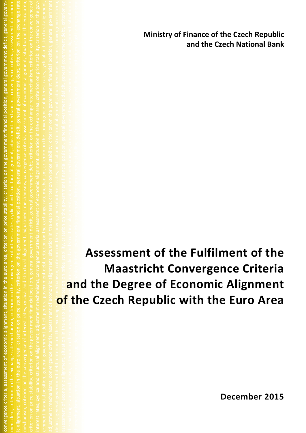**Ministry of Finance of the Czech Republic and the Czech National Bank**

deficit, general government debt, criterion on the exchange rate mechanism, criterion on the convergence of interest rates, cyclical and structural alignment, adjustment mechanisms, convergence criteria, assessment of economic alignment, situation in the euro area, criterion on price stability, criterion on the government financial position, general government debt, criterion on price is a stability, criterion on price sta the exchange rate mechanism, criterion on the convergence of  $\overline{1}$  coregence of  $\overline{1}$  and structural alignment, adjustment adjustment convergence criteria, assessment of economic alignment, situation in themechanismus směnných kurzů, vstup do eurozóny, plnění konvergenčních kritérií, ekonomická sladěnost, kritérium cenové stability, kritérium stavu veřejných financí, kritérium účasti v mechanismu ch kurzů, kritérium konvergence úrokových sazeb, přizpůsobových sazeb, přizpůsobovách sazeb, přizpůsobovách me<br>Dílo kurzů, plnění konvergenčních kritérii, ekonomická sladěnost, kritérii, ekonomická sladěnost, kritérium stavu v<br>Diskourzů, kritérium účasti v mechanismu stavu veřejných kurzů, kritérium konseinných kurzů, kritérium kons<br>Chická a strukturální sladěnost, přizpůsobování mechanismy, situace v europovací mechanismy, situace v eurozón<br>Chické kurzů, vstupující závazky pro přistupující země, mechanismus směnných kurzů, vstup do europovací závaz s<br>Z<br>Cenové stability kritérium stavu veřejných financí<br>Anisoti v mechanismu stavu veřejných kritérium účasti v mechánismu s **Assessment of the Fulfilment of the Maastricht Convergence Criteria and the Degree of Economic Alignment of the Czech Republic with the Euro Area**

convergence criteria, assessment of economic alignment, situation in the euro area, criterion on price stability, criterion on the government financial position, general government deficit, general government debt, criterion on the exchange rate mechanism, criterion on the convergence of interest rates, cyclical and structural alignment, adjustment mechanisms, convergence criteria, assessment of econom-

**December 2015**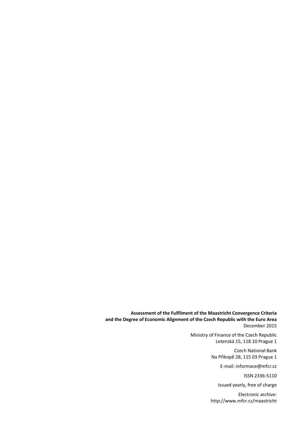**Assessment of the Fulfilment of the Maastricht Convergence Criteria and the Degree of Economic Alignment of the Czech Republic with the Euro Area** December 2015

> Ministry of Finance of the Czech Republic Letenská 15, 118 10 Prague 1

> > Czech National Bank Na Příkopě 28, 115 03 Prague 1

> > > E-mail: informace@mfcr.cz

ISSN 2336-5110

Issued yearly, free of charge

Electronic archive: http://www.mfcr.cz/maastricht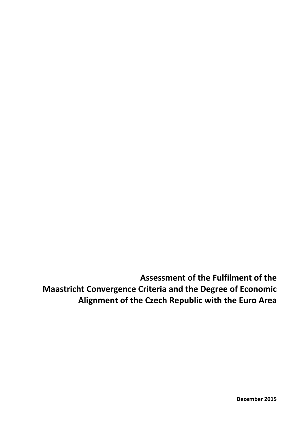**Assessment of the Fulfilment of the Maastricht Convergence Criteria and the Degree of Economic Alignment of the Czech Republic with the Euro Area**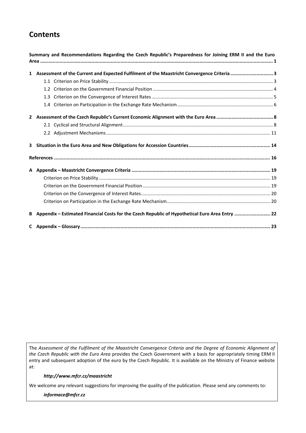# **Contents**

| Summary and Recommendations Regarding the Czech Republic's Preparedness for Joining ERM II and the Euro |  |
|---------------------------------------------------------------------------------------------------------|--|
| 1 Assessment of the Current and Expected Fulfilment of the Maastricht Convergence Criteria  3           |  |
|                                                                                                         |  |
|                                                                                                         |  |
|                                                                                                         |  |
|                                                                                                         |  |
|                                                                                                         |  |
|                                                                                                         |  |
|                                                                                                         |  |
|                                                                                                         |  |
|                                                                                                         |  |
|                                                                                                         |  |
|                                                                                                         |  |
|                                                                                                         |  |
|                                                                                                         |  |
|                                                                                                         |  |
| B Appendix - Estimated Financial Costs for the Czech Republic of Hypothetical Euro Area Entry  22       |  |
|                                                                                                         |  |

The *Assessment of the Fulfilment of the Maastricht Convergence Criteria and the Degree of Economic Alignment of the Czech Republic with the Euro Area* provides the Czech Government with a basis for appropriately timing ERM II entry and subsequent adoption of the euro by the Czech Republic. It is available on the Ministry of Finance website at:

#### *http://www.mfcr.cz/maastricht*

We welcome any relevant suggestions for improving the quality of the publication. Please send any comments to:

*informace@mfcr.cz*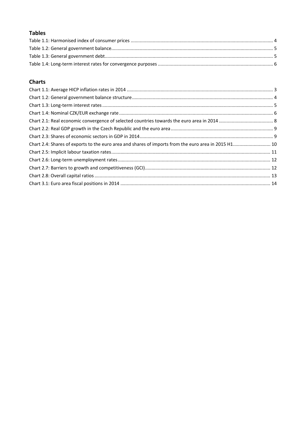# **Tables**

## **Charts**

| Chart 2.4: Shares of exports to the euro area and shares of imports from the euro area in 2015 H1 10 |  |
|------------------------------------------------------------------------------------------------------|--|
|                                                                                                      |  |
|                                                                                                      |  |
|                                                                                                      |  |
|                                                                                                      |  |
|                                                                                                      |  |
|                                                                                                      |  |
|                                                                                                      |  |
|                                                                                                      |  |
|                                                                                                      |  |
|                                                                                                      |  |
|                                                                                                      |  |
|                                                                                                      |  |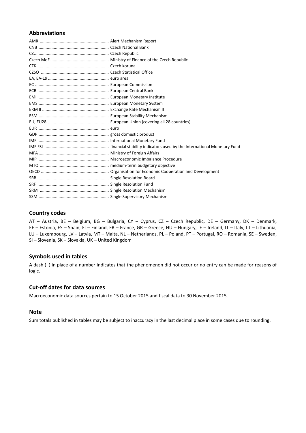#### **Abbreviations**

## **Country codes**

AT – Austria, BE – Belgium, BG – Bulgaria, CY – Cyprus, CZ – Czech Republic, DE – Germany, DK – Denmark, EE – Estonia, ES – Spain, FI – Finland, FR – France, GR – Greece, HU – Hungary, IE – Ireland, IT – Italy, LT – Lithuania, LU – Luxembourg, LV – Latvia, MT – Malta, NL – Netherlands, PL – Poland, PT – Portugal, RO – Romania, SE – Sweden, SI – Slovenia, SK – Slovakia, UK – United Kingdom

## **Symbols used in tables**

A dash (–) in place of a number indicates that the phenomenon did not occur or no entry can be made for reasons of logic.

#### **Cut-off dates for data sources**

Macroeconomic data sources pertain to 15 October 2015 and fiscal data to 30 November 2015.

#### **Note**

Sum totals published in tables may be subject to inaccuracy in the last decimal place in some cases due to rounding.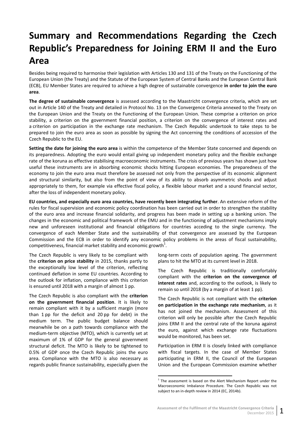# <span id="page-6-0"></span>**Summary and Recommendations Regarding the Czech Republic's Preparedness for Joining ERM II and the Euro Area**

Besides being required to harmonise their legislation with Articles 130 and 131 of the Treaty on the Functioning of the European Union (the Treaty) and the Statute of the European System of Central Banks and the European Central Bank (ECB), EU Member States are required to achieve a high degree of sustainable convergence **in order to join the euro area**.

**The degree of sustainable convergence** is assessed according to the Maastricht convergence criteria, which are set out in Article 140 of the Treaty and detailed in Protocol No. 13 on the Convergence Criteria annexed to the Treaty on the European Union and the Treaty on the Functioning of the European Union. These comprise a criterion on price stability, a criterion on the government financial position, a criterion on the convergence of interest rates and a criterion on participation in the exchange rate mechanism. The Czech Republic undertook to take steps to be prepared to join the euro area as soon as possible by signing the Act concerning the conditions of accession of the Czech Republic to the EU.

**Setting the date for joining the euro area** is within the competence of the Member State concerned and depends on its preparedness. Adopting the euro would entail giving up independent monetary policy and the flexible exchange rate of the koruna as effective stabilising macroeconomic instruments. The crisis of previous years has shown just how useful these instruments are in absorbing economic shocks hitting European economies. The preparedness of the economy to join the euro area must therefore be assessed not only from the perspective of its economic alignment and structural similarity, but also from the point of view of its ability to absorb asymmetric shocks and adjust appropriately to them, for example via effective fiscal policy, a flexible labour market and a sound financial sector, after the loss of independent monetary policy.

**EU countries, and especially euro area countries, have recently been integrating further**. An extensive reform of the rules for fiscal supervision and economic policy coordination has been carried out in order to strengthen the stability of the euro area and increase financial solidarity, and progress has been made in setting up a banking union. The changes in the economic and political framework of the EMU and in the functioning of adjustment mechanisms imply new and unforeseen institutional and financial obligations for countries acceding to the single currency. The convergence of each Member State and the sustainability of that convergence are assessed by the European Commission and the ECB in order to identify any economic policy problems in the areas of fiscal sustainability, competitiveness, financial market stability and economic growth $^{1}$ .

The Czech Republic is very likely to be compliant with the **criterion on price stability** in 2015, thanks partly to the exceptionally low level of the criterion, reflecting continued deflation in some EU countries. According to the outlook for inflation, compliance with this criterion is ensured until 2018 with a margin of almost 1 pp.

The Czech Republic is also compliant with the **criterion on the government financial position**. It is likely to remain compliant with it by a sufficient margin (more than 1 pp for the deficit and 20 pp for debt) in the medium term. The public budget balance should meanwhile be on a path towards compliance with the medium-term objective (MTO), which is currently set at maximum of 1% of GDP for the general government structural deficit. The MTO is likely to be tightened to 0.5% of GDP once the Czech Republic joins the euro area. Compliance with the MTO is also necessary as regards public finance sustainability, especially given the

long-term costs of population ageing. The government plans to hit the MTO at its current level in 2018.

The Czech Republic is traditionally comfortably compliant with the **criterion on the convergence of interest rates** and, according to the outlook, is likely to remain so until 2018 (by a margin of at least 1 pp).

The Czech Republic is not compliant with the **criterion on participation in the exchange rate mechanism**, as it has not joined the mechanism. Assessment of this criterion will only be possible after the Czech Republic joins ERM II and the central rate of the koruna against the euro, against which exchange rate fluctuations would be monitored, has been set.

Participation in ERM II is closely linked with compliance with fiscal targets. In the case of Member States participating in ERM II, the Council of the European Union and the European Commission examine whether

 $1$  The assessment is based on the Alert Mechanism Report under the Macroeconomic Imbalance Procedure. The Czech Republic was not subject to an in-depth review in 2014 (EC, 2014b).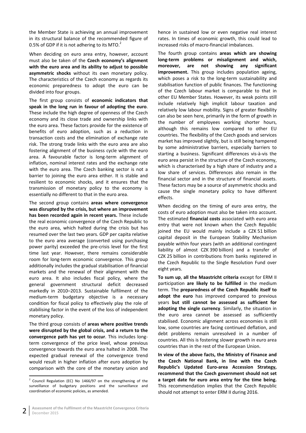the Member State is achieving an annual improvement in its structural balance of the recommended figure of 0.5% of GDP if it is not adhering to its MTO.<sup>2</sup>

When deciding on euro area entry, however, account must also be taken of the **Czech economy's alignment with the euro area and its ability to adjust to possible asymmetric shocks** without its own monetary policy. The characteristics of the Czech economy as regards its economic preparedness to adopt the euro can be divided into four groups.

The first group consists of **economic indicators that speak in the long run in favour of adopting the euro**. These include the high degree of openness of the Czech economy and its close trade and ownership links with the euro area. These factors provide for the existence of benefits of euro adoption, such as a reduction in transaction costs and the elimination of exchange rate risk. The strong trade links with the euro area are also fostering alignment of the business cycle with the euro area. A favourable factor is long-term alignment of inflation, nominal interest rates and the exchange rate with the euro area. The Czech banking sector is not a barrier to joining the euro area either. It is stable and resilient to economic shocks, and it ensures that the transmission of monetary policy to the economy is essentially no different to that in the euro area.

The second group contains **areas where convergence was disrupted by the crisis, but where an improvement has been recorded again in recent years.** These include the real economic convergence of the Czech Republic to the euro area, which halted during the crisis but has resumed over the last two years. GDP per capita relative to the euro area average (converted using purchasing power parity) exceeded the pre-crisis level for the first time last year. However, there remains considerable room for long-term economic convergence. This group additionally includes the gradual stabilisation of financial markets and the renewal of their alignment with the euro area. It also includes fiscal policy, where the general government structural deficit decreased markedly in 2010–2013. Sustainable fulfilment of the medium-term budgetary objective is a necessary condition for fiscal policy to effectively play the role of stabilising factor in the event of the loss of independent monetary policy.

The third group consists of **areas where positive trends were disrupted by the global crisis, and a return to the convergence path has yet to occur**. This includes longterm convergence of the price level, whose previous convergence towards the euro area halted in 2008. The expected gradual renewal of the convergence trend would result in higher inflation after euro adoption by comparison with the core of the monetary union and hence in sustained low or even negative real interest rates. In times of economic growth, this could lead to increased risks of macro-financial imbalances.

The fourth group contains **areas which are showing long-term problems or misalignment and which, moreover, are not showing any significant improvement.** This group includes population ageing. which poses a risk to the long-term sustainability and stabilisation function of public finances. The functioning of the Czech labour market is comparable to that in other EU Member States. However, its weak points still include relatively high implicit labour taxation and relatively low labour mobility. Signs of greater flexibility can also be seen here, primarily in the form of growth in the number of employees working shorter hours, although this remains low compared to other EU countries. The flexibility of the Czech goods and services market has improved slightly, but is still being hampered by some administrative barriers, especially barriers to starting a business. Significant differences vis-à-vis the euro area persist in the structure of the Czech economy, which is characterised by a high share of industry and a low share of services. Differences also remain in the financial sector and in the structure of financial assets. These factors may be a source of asymmetric shocks and cause the single monetary policy to have different effects.

When deciding on the timing of euro area entry, the costs of euro adoption must also be taken into account. The estimated **financial costs** associated with euro area entry that were not known when the Czech Republic joined the EU would mainly include a CZK 51 billion capital deposit in the European Stability Mechanism payable within four years (with an additional contingent liability of almost CZK 390 billion) and a transfer of CZK 25 billion in contributions from banks registered in the Czech Republic to the Single Resolution Fund over eight years.

**To sum up**, **all the Maastricht criteria** except for ERM II participation **are likely to be fulfilled** in the medium term. The **preparedness of the Czech Republic itself to adopt the euro** has improved compared to previous years **but still cannot be assessed as sufficient for adopting the single currency**. Similarly, the situation in the euro area cannot be assessed as sufficiently stabilised. Economic alignment across economies is still low, some countries are facing continued deflation, and debt problems remain unresolved in a number of countries. All this is fostering slower growth in euro area countries than in the rest of the European Union.

**In view of the above facts, the Ministry of Finance and the Czech National Bank, in line with the Czech Republic's Updated Euro-area Accession Strategy, recommend that the Czech government should not set a target date for euro area entry for the time being.** This recommendation implies that the Czech Republic should not attempt to enter ERM II during 2016.

 <sup>2</sup> Council Regulation (EC) No 1466/97 on the strengthening of the surveillance of budgetary positions and the surveillance and coordination of economic policies, as amended.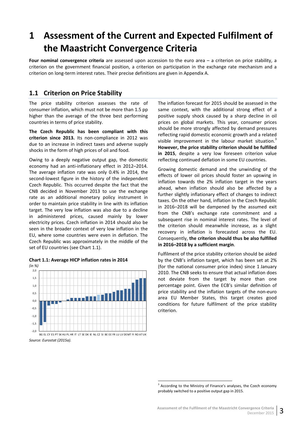# <span id="page-8-0"></span>**1 Assessment of the Current and Expected Fulfilment of the Maastricht Convergence Criteria**

**Four nominal convergence criteria** are assessed upon accession to the euro area – a criterion on price stability, a criterion on the government financial position, a criterion on participation in the exchange rate mechanism and a criterion on long-term interest rates. Their precise definitions are given in Appendix A.

## <span id="page-8-1"></span>**1.1 Criterion on Price Stability**

The price stability criterion assesses the rate of consumer inflation, which must not be more than 1.5 pp higher than the average of the three best performing countries in terms of price stability.

**The Czech Republic has been compliant with this criterion since 2013.** Its non-compliance in 2012 was due to an increase in indirect taxes and adverse supply shocks in the form of high prices of oil and food.

Owing to a deeply negative output gap, the domestic economy had an anti-inflationary effect in 2012–2014. The average inflation rate was only 0.4% in 2014, the second-lowest figure in the history of the independent Czech Republic. This occurred despite the fact that the CNB decided in November 2013 to use the exchange rate as an additional monetary policy instrument in order to maintain price stability in line with its inflation target. The very low inflation was also due to a decline in administered prices, caused mainly by lower electricity prices. Czech inflation in 2014 should also be seen in the broader context of very low inflation in the EU, where some countries were even in deflation. The Czech Republic was approximately in the middle of the set of EU countries (see Chart 1.1).



<span id="page-8-2"></span>**Chart 1.1: Average HICP inflation rates in 2014** *(in %)*

*Source: Eurostat (2015a).*

The inflation forecast for 2015 should be assessed in the same context, with the additional strong effect of a positive supply shock caused by a sharp decline in oil prices on global markets. This year, consumer prices should be more strongly affected by demand pressures reflecting rapid domestic economic growth and a related visible improvement in the labour market situation.<sup>3</sup> **However, the price stability criterion should be fulfilled in 2015**, despite a very low foreseen criterion value reflecting continued deflation in some EU countries.

Growing domestic demand and the unwinding of the effects of lower oil prices should foster an upswing in inflation towards the 2% inflation target in the years ahead, when inflation should also be affected by a further slightly inflationary effect of changes to indirect taxes. On the other hand, inflation in the Czech Republic in 2016–2018 will be dampened by the assumed exit from the CNB's exchange rate commitment and a subsequent rise in nominal interest rates. The level of the criterion should meanwhile increase, as a slight recovery in inflation is forecasted across the EU. Consequently, **the criterion should thus be also fulfilled in 2016–2018 by a sufficient margin**.

Fulfilment of the price stability criterion should be aided by the CNB's inflation target, which has been set at 2% (for the national consumer price index) since 1 January 2010. The CNB seeks to ensure that actual inflation does not deviate from the target by more than one percentage point. Given the ECB's similar definition of price stability and the inflation targets of the non-euro area EU Member States, this target creates good conditions for future fulfilment of the price stability criterion.

<sup>&</sup>lt;sup>3</sup> According to the Ministry of Finance's analyses, the Czech economy probably switched to a positive output gap in 2015.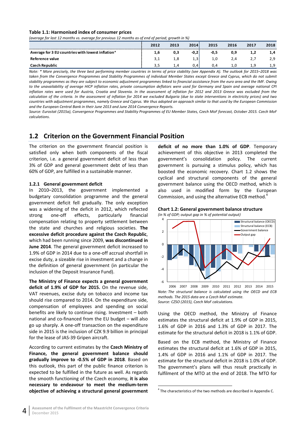#### <span id="page-9-1"></span>**Table 1.1: Harmonised index of consumer prices**

*(average for last 12 months vs. average for previous 12 months as of end of period; growth in %)*

|                                                   | 2012 | 2013           | 2014 | 2015 | 2016 | 2017         | 2018 |
|---------------------------------------------------|------|----------------|------|------|------|--------------|------|
| Average for 3 EU countries with lowest inflation* | 1.6  | 0.3            | -0,2 | -0,5 |      |              | 1,4  |
| Reference value                                   |      |                | 1,3  | 1.0  |      | $\mathbf{z}$ | 2,9  |
| <b>Czech Republic</b>                             |      | $\mathbf{A}$ . | 0,4  | 0.4  | 1.0  | ΙQ           | 1,9  |

*Note: \* More precisely, the three best performing member countries in terms of price stability (see Appendix A). The outlook for 2015–2018 was taken from the Convergence Programmes and Stability Programmes of individual Member States except Greece and Cyprus, which do not submit stability programmes as they are subject to economic adjustment programmes linked to financial assistance from the euro area and the IMF. Owing to the unavailability of average HICP inflation rates, private consumption deflators were used for Germany and Spain and average national CPI inflation rates were used for Austria, Croatia and Slovenia. In the assessment of inflation for 2012 and 2013 Greece was excluded from the calculation of the criteria. In the assessment of inflation for 2014 we excluded Bulgaria (due to state interventions in electricity prices) and two countries with adjustment programmes, namely Greece and Cyprus. We thus adopted an approach similar to that used by the European Commission and the European Central Bank in their June 2013 and June 2014 Convergence Reports.*

*Source: Eurostat (2015a), Convergence Programmes and Stability Programmes of EU Member States, Czech MoF forecast, October 2015. Czech MoF calculations.*

## <span id="page-9-0"></span>**1.2 Criterion on the Government Financial Position**

The criterion on the government financial position is satisfied only when both components of the fiscal criterion, i.e. a general government deficit of less than 3% of GDP and general government debt of less than 60% of GDP, are fulfilled in a sustainable manner.

#### **1.2.1 General government deficit**

In 2010–2013, the government implemented a budgetary consolidation programme and the general government deficit fell gradually. The only exception was a widening of the deficit in 2012, which reflected strong one-off effects, particularly financial compensation relating to property settlement between the state and churches and religious societies. **The excessive deficit procedure against the Czech Republic**, which had been running since 2009, **was discontinued in June 2014**. The general government deficit increased to 1.9% of GDP in 2014 due to a one-off accrual shortfall in excise duty, a sizeable rise in investment and a change in the definition of general government (in particular the inclusion of the Deposit Insurance Fund).

**The Ministry of Finance expects a general government deficit of 1.9% of GDP for 2015.** On the revenue side, VAT revenues, excise duty on tobacco and income tax should rise compared to 2014. On the expenditure side, compensation of employees and spending on social benefits are likely to continue rising. Investment – both national and co-financed from the EU budget – will also go up sharply. A one-off transaction on the expenditure side in 2015 is the inclusion of CZK 9.9 billion in principal for the lease of JAS-39 Gripen aircraft.

According to current estimates by the **Czech Ministry of Finance, the general government balance should gradually improve to -0.5% of GDP in 2018**. Based on this outlook, this part of the public finance criterion is expected to be fulfilled in the future as well. As regards the smooth functioning of the Czech economy, **it is also necessary to endeavour to meet the medium-term objective of achieving a structural general government** **deficit of no more than 1.0% of GDP**. Temporary achievement of this objective in 2013 completed the government's consolidation policy. The current government is pursuing a stimulus policy, which has boosted the economic recovery. Chart 1.2 shows the cyclical and structural components of the general government balance using the OECD method, which is also used in modified form by the European Commission, and using the alternative ECB method.<sup>4</sup>

<span id="page-9-2"></span>



*Note: The structural balance is calculated using the OECD and ECB methods. The 2015 data are a Czech MoF estimate. Source: CZSO (2015), Czech MoF calculations.*

Using the OECD method, the Ministry of Finance estimates the structural deficit at 1.9% of GDP in 2015, 1.6% of GDP in 2016 and 1.3% of GDP in 2017. The estimate for the structural deficit in 2018 is 1.1% of GDP.

Based on the ECB method, the Ministry of Finance estimates the structural deficit at 1.6% of GDP in 2015, 1.4% of GDP in 2016 and 1.1% of GDP in 2017. The estimate for the structural deficit in 2018 is 1.0% of GDP. The government's plans will thus result practically in fulfilment of the MTO at the end of 2018. The MTO for

<sup>&</sup>lt;sup>4</sup> The characteristics of the two methods are described in Appendix C.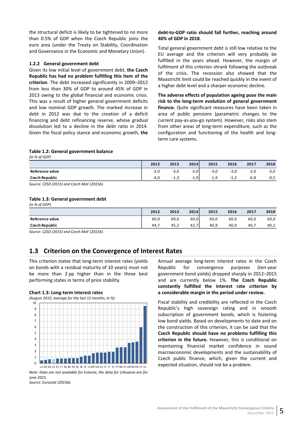the structural deficit is likely to be tightened to no more than 0.5% of GDP when the Czech Republic joins the euro area (under the Treaty on Stability, Coordination and Governance in the Economic and Monetary Union).

#### **1.2.2 General government debt**

Given its low initial level of government debt, **the Czech Republic has had no problem fulfilling this item of the criterion**. The debt increased significantly in 2009–2012 from less than 30% of GDP to around 45% of GDP in 2013 owing to the global financial and economic crisis. This was a result of higher general government deficits and low nominal GDP growth. The marked increase in debt in 2012 was due to the creation of a deficit financing and debt refinancing reserve, whose gradual dissolution led to a decline in the debt ratio in 2014. Given the fiscal policy stance and economic growth, **the**

#### **debt-to-GDP ratio should fall further, reaching around 40% of GDP in 2018**.

Total general government debt is still low relative to the EU average and the criterion will very probably be fulfilled in the years ahead. However, the margin of fulfilment of this criterion shrank following the outbreak of the crisis. The recession also showed that the Maastricht limit could be reached quickly in the event of a higher debt level and a sharper economic decline.

**The adverse effects of population ageing pose the main risk to the long-term evolution of general government finance.** Quite significant measures have been taken in area of public pensions (parametric changes to the current pay-as-you-go system). However, risks also stem from other areas of long-term expenditure, such as the configuration and functioning of the health and longterm care systems.

#### <span id="page-10-1"></span>**Table 1.2: General government balance**

*(in % of GDP)*

*(in % of GDP)*

|                                                                                                                                                                                                                               | 2012   | 2013     | 2014          | 2015      | 2016     | 2017  | 2018 |
|-------------------------------------------------------------------------------------------------------------------------------------------------------------------------------------------------------------------------------|--------|----------|---------------|-----------|----------|-------|------|
| Reference value                                                                                                                                                                                                               | $-3.0$ | - -      | - 5           | -3.U      | -3.0     | $-1$  | -3,U |
| Czech Republic                                                                                                                                                                                                                | -4.⊾   | - 1<br>. | a<br>- 1<br>. | $-1$<br>. | - 1<br>. | خ. ∪- | -∪,  |
| $C_1$ $C_2$ $C_3$ $C_4$ $C_5$ $C_6$ $C_7$ $C_8$ $C_1$ $C_2$ $C_3$ $C_4$ $C_5$ $C_6$ $C_7$ $C_8$ $C_9$ $C_1$ $C_2$ $C_3$ $C_4$ $C_5$ $C_7$ $C_8$ $C_9$ $C_9$ $C_9$ $C_9$ $C_9$ $C_9$ $C_9$ $C_9$ $C_9$ $C_9$ $C_9$ $C_9$ $C_9$ |        |          |               |           |          |       |      |

*Source: CZSO (2015) and Czech MoF (2015b).*

#### <span id="page-10-2"></span>**Table 1.3: General government debt**

| .<br>---              |      |      |      |      |      |      |      |
|-----------------------|------|------|------|------|------|------|------|
|                       | 2012 | 2013 | 2014 | 2015 | 2016 | 2017 | 2018 |
| Reference value       | 60,0 | 60,0 | 60,0 | 60,0 | 60,0 | 60,0 | 60,0 |
| <b>Czech Republic</b> | 44.  | 45,∠ | 42., | 40.9 | 40.⊾ | 40.  | 40,1 |

*Source: CZSO (2015) and Czech MoF (2015b).*

## <span id="page-10-0"></span>**1.3 Criterion on the Convergence of Interest Rates**

This criterion states that long-term interest rates (yields on bonds with a residual maturity of 10 years) must not be more than 2 pp higher than in the three best performing states in terms of price stability.

#### <span id="page-10-3"></span>**Chart 1.3: Long-term interest rates**

*(August 2015; average for the last 12 months; in %)*



*Note: Data are not available for Estonia; the data for Lithuania are for June 2015.*

*Source: Eurostat (2015b).*

Annual average long-term interest rates in the Czech Republic for convergence purposes (ten-year government bond yields) dropped sharply in 2012–2015 and are currently below 1%. **The Czech Republic constantly fulfilled the interest rate criterion by a considerable margin in the period under review.**

Fiscal stability and credibility are reflected in the Czech Republic's high sovereign rating and in smooth subscription of government bonds, which is fostering low bond yields. Based on developments to date and on the construction of this criterion, it can be said that the **Czech Republic should have no problems fulfilling this criterion in the future.** However, this is conditional on maintaining financial market confidence in sound macroeconomic developments and the sustainability of Czech public finance, which, given the current and expected situation, should not be a problem.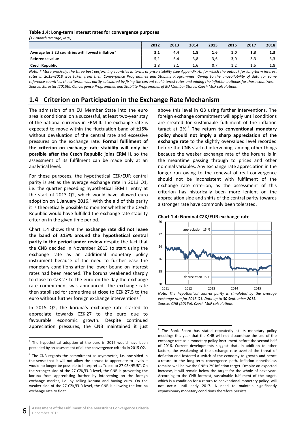#### <span id="page-11-1"></span>**Table 1.4: Long-term interest rates for convergence purposes**

*(12-month average; in %)*

|                                                   | 2012 | 2013 | 2014 | 2015 | 2016  | 2017 | 2018 |
|---------------------------------------------------|------|------|------|------|-------|------|------|
| Average for 3 EU countries with lowest inflation* | 3.1  | 4.4  | 1.8  | 1.6  | 1.U   |      | 1,3  |
| Reference value                                   |      | 6.4  | 3.8  |      |       |      | 3,3  |
| <b>Czech Republic</b>                             |      | 2.1  | 1.6  |      | . . 2 |      | 1,8  |
|                                                   |      |      |      |      |       |      |      |

*Note: \* More precisely, the three best performing countries in terms of price stability (see Appendix A), for which the outlook for long-term interest rates in 2015–2018 was taken from their Convergence Programmes and Stability Programmes. Owing to the unavailability of data for some reference countries, the criterion was partly calculated by fixing the current real interest rates and adding the inflation outlooks for those countries. Source: Eurostat (2015b), Convergence Programmes and Stability Programmes of EU Member States, Czech MoF calculations.*

## <span id="page-11-0"></span>**1.4 Criterion on Participation in the Exchange Rate Mechanism**

The admission of an EU Member State into the euro area is conditional on a successful, at least two-year stay of the national currency in ERM II. The exchange rate is expected to move within the fluctuation band of ±15% without devaluation of the central rate and excessive pressures on the exchange rate. **Formal fulfilment of the criterion on exchange rate stability will only be possible after the Czech Republic joins ERM II**, so the assessment of its fulfilment can be made only at an analytical level.

For these purposes, the hypothetical CZK/EUR central parity is set as the average exchange rate in 2013 Q1, i.e. the quarter preceding hypothetical ERM II entry at the start of 2013 Q2, which would have allowed euro adoption on 1 January 2016. $5$  With the aid of this parity it is theoretically possible to monitor whether the Czech Republic would have fulfilled the exchange rate stability criterion in the given time period.

Chart 1.4 shows that the **exchange rate did not leave the band of ±15% around the hypothetical central parity in the period under review** despite the fact that the CNB decided in November 2013 to start using the exchange rate as an additional monetary policy instrument because of the need to further ease the monetary conditions after the lower bound on interest rates had been reached. The koruna weakened sharply to close to CZK 27 to the euro on the day the exchange rate commitment was announced. The exchange rate then stabilised for some time at close to CZK 27.5 to the euro without further foreign exchange interventions.<sup>6</sup>

In 2015 Q2, the koruna's exchange rate started to appreciate towards CZK 27 to the euro due to favourable economic growth. Despite continued appreciation pressures, the CNB maintained it just above this level in Q3 using further interventions. The foreign exchange commitment will apply until conditions are created for sustainable fulfilment of the inflation target at 2%.<sup>7</sup> **The return to conventional monetary policy should not imply a sharp appreciation of the exchange rate** to the slightly overvalued level recorded before the CNB started intervening, among other things because the weaker exchange rate of the koruna is in the meantime passing through to prices and other nominal variables. Any exchange rate appreciation in the longer run owing to the renewal of real convergence should not be inconsistent with fulfilment of the exchange rate criterion, as the assessment of this criterion has historically been more lenient on the appreciation side and shifts of the central parity towards a stronger rate have commonly been tolerated.

<span id="page-11-2"></span>



*Note: The hypothetical central parity is simulated by the average exchange rate for 2013 Q1. Data up to 30 September 2015. Source: CNB (2015a), Czech MoF calculations.*

<sup>&</sup>lt;sup>5</sup> The hypothetical adoption of the euro in 2016 would have been preceded by an assessment of all the convergence criteria in 2015 Q2.

 $6$  The CNB regards the commitment as asymmetric, i.e. one-sided in the sense that it will not allow the koruna to appreciate to levels it would no longer be possible to interpret as "close to 27 CZK/EUR". On the stronger side of the 27 CZK/EUR level, the CNB is preventing the koruna from appreciating further by intervening on the foreign exchange market, i.e. by selling koruna and buying euro. On the weaker side of the 27 CZK/EUR level, the CNB is allowing the koruna exchange rate to float.

 $<sup>7</sup>$  The Bank Board has stated repeatedly at its monetary policy</sup> meetings this year that the CNB will not discontinue the use of the exchange rate as a monetary policy instrument before the second half of 2016. Current developments suggest that, in addition to other factors, the weakening of the exchange rate averted the threat of deflation and fostered a switch of the economy to growth and hence a return to the long-term convergence path. Inflation nonetheless remains well below the CNB's 2% inflation target. Despite an expected increase, it will remain below the target for the whole of next year. According to the CNB forecast, sustainable fulfilment of the target, which is a condition for a return to conventional monetary policy, will not occur until early 2017. A need to maintain significantly expansionary monetary conditions therefore persists.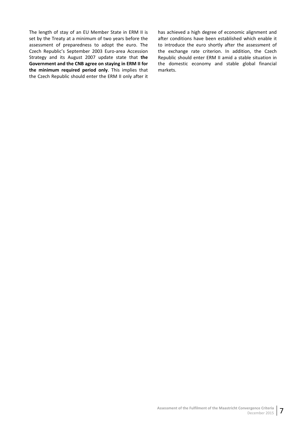The length of stay of an EU Member State in ERM II is set by the Treaty at a minimum of two years before the assessment of preparedness to adopt the euro. The Czech Republic's September 2003 Euro-area Accession Strategy and its August 2007 update state that **the Government and the CNB agree on staying in ERM II for the minimum required period only**. This implies that the Czech Republic should enter the ERM II only after it has achieved a high degree of economic alignment and after conditions have been established which enable it to introduce the euro shortly after the assessment of the exchange rate criterion. In addition, the Czech Republic should enter ERM II amid a stable situation in the domestic economy and stable global financial markets.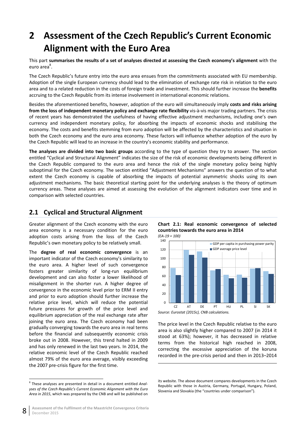# <span id="page-13-0"></span>**2 Assessment of the Czech Republic's Current Economic Alignment with the Euro Area**

This part **summarises the results of a set of analyses directed at assessing the Czech economy's alignment** with the euro area<sup>8</sup>.

The Czech Republic's future entry into the euro area ensues from the commitments associated with EU membership. Adoption of the single European currency should lead to the elimination of exchange rate risk in relation to the euro area and to a related reduction in the costs of foreign trade and investment. This should further increase the **benefits** accruing to the Czech Republic from its intense involvement in international economic relations.

Besides the aforementioned benefits, however, adoption of the euro will simultaneously imply **costs and risks arising from the loss of independent monetary policy and exchange rate flexibility** vis-à-vis major trading partners. The crisis of recent years has demonstrated the usefulness of having effective adjustment mechanisms, including one's own currency and independent monetary policy, for absorbing the impacts of economic shocks and stabilising the economy. The costs and benefits stemming from euro adoption will be affected by the characteristics and situation in both the Czech economy and the euro area economy. These factors will influence whether adoption of the euro by the Czech Republic will lead to an increase in the country's economic stability and performance.

**The analyses are divided into two basic groups** according to the type of question they try to answer. The section entitled "Cyclical and Structural Alignment" indicates the size of the risk of economic developments being different in the Czech Republic compared to the euro area and hence the risk of the single monetary policy being highly suboptimal for the Czech economy. The section entitled "Adjustment Mechanisms" answers the question of to what extent the Czech economy is capable of absorbing the impacts of potential asymmetric shocks using its own adjustment mechanisms. The basic theoretical starting point for the underlying analyses is the theory of optimum currency areas. These analyses are aimed at assessing the evolution of the alignment indicators over time and in comparison with selected countries.

**.** 

# <span id="page-13-1"></span>**2.1 Cyclical and Structural Alignment**

Greater alignment of the Czech economy with the euro area economy is a necessary condition for the euro adoption costs arising from the loss of the Czech Republic's own monetary policy to be relatively small.

The **degree of real economic convergence** is an important indicator of the Czech economy's similarity to the euro area. A higher level of such convergence fosters greater similarity of long-run equilibrium development and can also foster a lower likelihood of misalignment in the shorter run. A higher degree of convergence in the economic level prior to ERM II entry and prior to euro adoption should further increase the relative price level, which will reduce the potential future pressures for growth of the price level and equilibrium appreciation of the real exchange rate after joining the euro area. The Czech economy had been gradually converging towards the euro area in real terms before the financial and subsequently economic crisis broke out in 2008. However, this trend halted in 2009 and has only renewed in the last two years. In 2014, the relative economic level of the Czech Republic reached almost 79% of the euro area average, visibly exceeding the 2007 pre-crisis figure for the first time.

 $\overline{a}$ 

<span id="page-13-2"></span>



The price level in the Czech Republic relative to the euro area is also slightly higher compared to 2007 (in 2014 it stood at 63%); however, it has decreased in relative terms from the historical high reached in 2008, correcting the excessive appreciation of the koruna recorded in the pre-crisis period and then in 2013–2014

its website. The above document compares developments in the Czech Republic with those in Austria, Germany, Portugal, Hungary, Poland, Slovenia and Slovakia (the "countries under comparison").

<sup>8</sup> These analyses are presented in detail in a document entitled *Analyses of the Czech Republic's Current Economic Alignment with the Euro Area in 2015*, which was prepared by the CNB and will be published on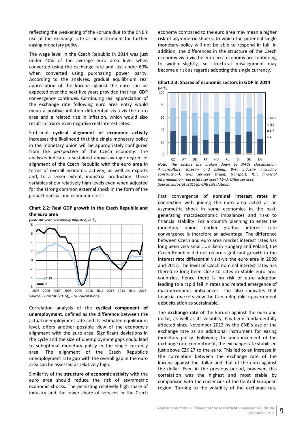reflecting the weakening of the koruna due to the CNB's use of the exchange rate as an instrument for further easing monetary policy.

The wage level in the Czech Republic in 2014 was just under 40% of the average euro area level when converted using the exchange rate and just under 60% when converted using purchasing power parity. According to the analyses, gradual equilibrium real appreciation of the koruna against the euro can be expected over the next five years provided that real GDP convergence continues. Continuing real appreciation of the exchange rate following euro area entry would mean a positive inflation differential vis-à-vis the euro area and a related rise in inflation, which would also result in low or even negative real interest rates.

Sufficient **cyclical alignment of economic activity**  increases the likelihood that the single monetary policy in the monetary union will be appropriately configured from the perspective of the Czech economy. The analyses indicate a sustained above-average degree of alignment of the Czech Republic with the euro area in terms of overall economic activity, as well as exports and, to a lesser extent, industrial production. These variables show relatively high levels even when adjusted for the strong common external shock in the form of the global financial and economic crisis.

<span id="page-14-0"></span>**Chart 2.2: Real GDP growth in the Czech Republic and the euro area**



Correlation analysis of the **cyclical component of unemployment**, defined as the difference between the actual unemployment rate and its estimated equilibrium level, offers another possible view of the economy's alignment with the euro area. Significant deviations in the cycle and the size of unemployment gaps could lead to suboptimal monetary policy in the single currency area. The alignment of the Czech Republic's unemployment rate gap with the overall gap in the euro area can be assessed as relatively high.

Similarity of the **structure of economic activity** with the euro area should reduce the risk of asymmetric economic shocks. The persisting relatively high share of industry and the lower share of services in the Czech economy compared to the euro area may mean a higher risk of asymmetric shocks, to which the potential single monetary policy will not be able to respond in full. In addition, the differences in the structure of the Czech economy vis-à-vis the euro area economy are continuing to widen slightly, so structural misalignment may become a risk as regards adopting the single currency.

<span id="page-14-1"></span>**Chart 2.3: Shares of economic sectors in GDP in 2014** *(in %)*



CZ AT DE PT HU PL SI SK EA *Note: The sectors are broken down by NACE classification: A: agriculture, forestry and fishing; B–F: industry (including construction); G–L: services (trade, transport, ICT, financial intermediation, real estate services); M–U: Other services. Source: Eurostat (2015g), CNB calculations.*

Fast convergence of **nominal interest rates** in connection with joining the euro area acted as an asymmetric shock in some economies in the past, generating macroeconomic imbalances and risks to financial stability. For a country planning to enter the monetary union, earlier gradual interest rate convergence is therefore an advantage. The difference between Czech and euro area market interest rates has long been very small. Unlike in Hungary and Poland, the Czech Republic did not record significant growth in the interest rate differential vis-à-vis the euro area in 2009 and 2012. The level of Czech nominal interest rates has therefore long been close to rates in stable euro area countries, hence there is no risk of euro adoption leading to a rapid fall in rates and related emergence of macroeconomic imbalances. This also indicates that financial markets view the Czech Republic's government debt situation as sustainable.

The **exchange rate** of the koruna against the euro and dollar, as well as its volatility, has been fundamentally affected since November 2013 by the CNB's use of the exchange rate as an additional instrument for easing monetary policy. Following the announcement of the exchange rate commitment, the exchange rate stabilised just above CZK 27 to the euro. This led to an increase in the correlation between the exchange rate of the koruna against the dollar and that of the euro against the dollar. Even in the previous period, however, this correlation was the highest and most stable by comparison with the currencies of the Central European region. Turning to the volatility of the exchange rate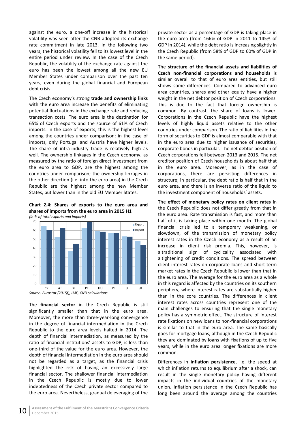against the euro, a one-off increase in the historical volatility was seen after the CNB adopted its exchange rate commitment in late 2013. In the following two years, the historical volatility fell to its lowest level in the entire period under review. In the case of the Czech Republic, the volatility of the exchange rate against the euro has been the lowest among all the new EU Member States under comparison over the past ten years, even during the global financial and European debt crisis.

The Czech economy's strong **trade and ownership links** with the euro area increase the benefits of eliminating potential fluctuations in the exchange rate and reducing transaction costs. The euro area is the destination for 65% of Czech exports and the source of 61% of Czech imports. In the case of exports, this is the highest level among the countries under comparison; in the case of imports, only Portugal and Austria have higher levels. The share of intra-industry trade is relatively high as well. The ownership linkages in the Czech economy, as measured by the ratio of foreign direct investment from the euro area to GDP, are the highest among the countries under comparison; the ownership linkages in the other direction (i.e. into the euro area) in the Czech Republic are the highest among the new Member States, but lower than in the old EU Member States.

<span id="page-15-0"></span>**Chart 2.4: Shares of exports to the euro area and shares of imports from the euro area in 2015 H1**



The **financial sector** in the Czech Republic is still significantly smaller than that in the euro area. Moreover, the more than three-year-long convergence in the degree of financial intermediation in the Czech Republic to the euro area levels halted in 2014. The depth of financial intermediation, as measured by the ratio of financial institutions' assets to GDP, is less than one-third of the value for the euro area. However, the depth of financial intermediation in the euro area should not be regarded as a target, as the financial crisis highlighted the risk of having an excessively large financial sector. The shallower financial intermediation in the Czech Republic is mostly due to lower indebtedness of the Czech private sector compared to the euro area. Nevertheless, gradual deleveraging of the private sector as a percentage of GDP is taking place in the euro area (from 166% of GDP in 2011 to 145% of GDP in 2014), while the debt ratio is increasing slightly in the Czech Republic (from 58% of GDP to 60% of GDP in the same period).

The **structure of the financial assets and liabilities of Czech non-financial corporations and households** is similar overall to that of euro area entities, but still shows some differences. Compared to advanced euro area countries, shares and other equity have a higher weight in the net debtor position of Czech corporations. This is due to the fact that foreign ownership is common. By contrast, the share of loans is lower. Corporations in the Czech Republic have the highest levels of highly liquid assets relative to the other countries under comparison. The ratio of liabilities in the form of securities to GDP is almost comparable with that in the euro area due to higher issuance of securities, corporate bonds in particular. The net debtor position of Czech corporations fell between 2013 and 2015. The net creditor position of Czech households is about half that in the euro area. Moreover, as in the case of corporations, there are persisting differences in structure; in particular, the debt ratio is half that in the euro area, and there is an inverse ratio of the liquid to the investment component of households' assets.

The **effect of monetary policy rates on client rates** in the Czech Republic does not differ greatly from that in the euro area. Rate transmission is fast, and more than half of it is taking place within one month. The global financial crisis led to a temporary weakening, or slowdown, of the transmission of monetary policy interest rates in the Czech economy as a result of an increase in client risk premia. This, however, is a traditional sign of cyclicality associated with a tightening of credit conditions. The spread between client interest rates on corporate loans and short-term market rates in the Czech Republic is lower than that in the euro area. The average for the euro area as a whole in this regard is affected by the countries on its southern periphery, where interest rates are substantially higher than in the core countries. The differences in client interest rates across countries represent one of the main challenges to ensuring that the single monetary policy has a symmetric effect. The structure of interest rate fixations on new loans to non-financial corporations is similar to that in the euro area. The same basically goes for mortgage loans, although in the Czech Republic they are dominated by loans with fixations of up to five years, while in the euro area longer fixations are more common.

Differences in **inflation persistence**, i.e. the speed at which inflation returns to equilibrium after a shock, can result in the single monetary policy having different impacts in the individual countries of the monetary union. Inflation persistence in the Czech Republic has long been around the average among the countries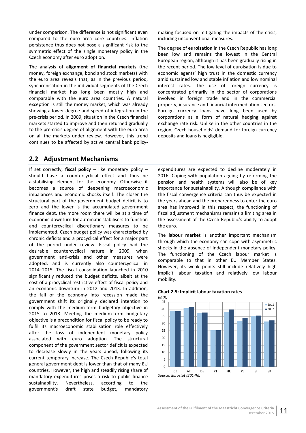under comparison. The difference is not significant even compared to the euro area core countries. Inflation persistence thus does not pose a significant risk to the symmetric effect of the single monetary policy in the Czech economy after euro adoption.

The analysis of **alignment of financial markets** (the money, foreign exchange, bond and stock markets) with the euro area reveals that, as in the previous period, synchronisation in the individual segments of the Czech financial market has long been mostly high and comparable with the euro area countries. A natural exception is still the money market, which was already showing a lower degree and speed of integration in the pre-crisis period. In 2009, situation in the Czech financial markets started to improve and then returned gradually to the pre-crisis degree of alignment with the euro area on all the markets under review. However, this trend continues to be affected by active central bank policymaking focused on mitigating the impacts of the crisis, including unconventional measures.

The degree of **euroisation** in the Czech Republic has long been low and remains the lowest in the Central European region, although it has been gradually rising in the recent period. The low level of euroisation is due to economic agents' high trust in the domestic currency amid sustained low and stable inflation and low nominal interest rates. The use of foreign currency is concentrated primarily in the sector of corporations involved in foreign trade and in the commercial property, insurance and financial intermediation sectors. Foreign currency loans have long been used by corporations as a form of natural hedging against exchange rate risk. Unlike in the other countries in the region, Czech households' demand for foreign currency deposits and loans is negligible.

## <span id="page-16-0"></span>**2.2 Adjustment Mechanisms**

If set correctly, **fiscal policy** – like monetary policy – should have a countercyclical effect and thus be a stabilising element for the economy. Otherwise it becomes a source of deepening macroeconomic imbalances and economic shocks itself. The closer the structural part of the government budget deficit is to zero and the lower is the accumulated government finance debt, the more room there will be at a time of economic downturn for automatic stabilisers to function and countercyclical discretionary measures to be implemented. Czech budget policy was characterised by chronic deficits and a procyclical effect for a major part of the period under review. Fiscal policy had the desirable countercyclical nature in 2009, when government anti-crisis and other measures were adopted, and is currently also countercyclical in 2014–2015. The fiscal consolidation launched in 2010 significantly reduced the budget deficits, albeit at the cost of a procyclical restrictive effect of fiscal policy and an economic downturn in 2012 and 2013. In addition, the fall of the economy into recession made the government shift its originally declared intention to comply with the medium-term budgetary objective in 2015 to 2018. Meeting the medium-term budgetary objective is a precondition for fiscal policy to be ready to fulfil its macroeconomic stabilisation role effectively after the loss of independent monetary policy associated with euro adoption. The structural component of the government sector deficit is expected to decrease slowly in the years ahead, following its current temporary increase. The Czech Republic's total general government debt is lower than that of many EU countries. However, the high and steadily rising share of mandatory expenditures poses a risk to public finance sustainability. Nevertheless, according to the government's draft state budget, mandatory

expenditures are expected to decline moderately in 2016. Coping with population ageing by reforming the pension and health systems will also be of key importance for sustainability. Although compliance with the fiscal convergence criteria can thus be expected in the years ahead and the preparedness to enter the euro area has improved in this respect, the functioning of fiscal adjustment mechanisms remains a limiting area in the assessment of the Czech Republic's ability to adopt the euro.

The **labour market** is another important mechanism through which the economy can cope with asymmetric shocks in the absence of independent monetary policy. The functioning of the Czech labour market is comparable to that in other EU Member States. However, its weak points still include relatively high implicit labour taxation and relatively low labour mobility.



#### <span id="page-16-1"></span>**Chart 2.5: Implicit labour taxation rates**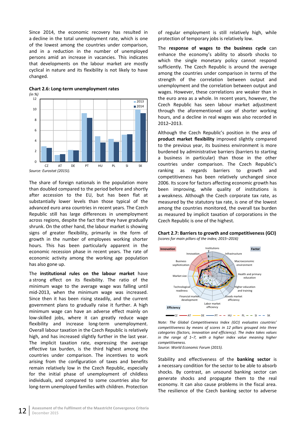Since 2014, the economic recovery has resulted in a decline in the total unemployment rate, which is one of the lowest among the countries under comparison, and in a reduction in the number of unemployed persons amid an increase in vacancies. This indicates that developments on the labour market are mostly cyclical in nature and its flexibility is not likely to have changed.



<span id="page-17-0"></span>**Chart 2.6: Long-term unemployment rates** *(in %)*

The share of foreign nationals in the population more than doubled compared to the period before and shortly after accession to the EU, but has been flat at substantially lower levels than those typical of the advanced euro area countries in recent years. The Czech Republic still has large differences in unemployment across regions, despite the fact that they have gradually shrunk. On the other hand, the labour market is showing signs of greater flexibility, primarily in the form of growth in the number of employees working shorter hours. This has been particularly apparent in the economic recession phase in recent years. The rate of economic activity among the working age population has also gone up.

The **institutional rules on the labour market** have a strong effect on its flexibility. The ratio of the minimum wage to the average wage was falling until mid-2013, when the minimum wage was increased. Since then it has been rising steadily, and the current government plans to gradually raise it further. A high minimum wage can have an adverse effect mainly on low-skilled jobs, where it can greatly reduce wage flexibility and increase long-term unemployment. Overall labour taxation in the Czech Republic is relatively high, and has increased slightly further in the last year. The implicit taxation rate, expressing the average effective tax burden, is the third highest among the countries under comparison. The incentives to work arising from the configuration of taxes and benefits remain relatively low in the Czech Republic, especially for the initial phase of unemployment of childless individuals, and compared to some countries also for long-term unemployed families with children. Protection

of regular employment is still relatively high, while protection of temporary jobs is relatively low.

The **response of wages to the business cycle** can enhance the economy's ability to absorb shocks to which the single monetary policy cannot respond sufficiently. The Czech Republic is around the average among the countries under comparison in terms of the strength of the correlation between output and unemployment and the correlation between output and wages. However, these correlations are weaker than in the euro area as a whole. In recent years, however, the Czech Republic has seen labour market adjustment through the aforementioned use of shorter working hours, and a decline in real wages was also recorded in 2012–2013.

Although the Czech Republic's position in the area of **product market flexibility** improved slightly compared to the previous year, its business environment is more burdened by administrative barriers (barriers to starting a business in particular) than those in the other countries under comparison. The Czech Republic's ranking as regards barriers to growth and competitiveness has been relatively unchanged since 2006. Its score for factors affecting economic growth has been improving, while quality of institutions is a weakness. Although the Czech corporate tax rate, as measured by the statutory tax rate, is one of the lowest among the countries monitored, the overall tax burden as measured by implicit taxation of corporations in the Czech Republic is one of the highest.

<span id="page-17-1"></span>



*Note: The Global Competitiveness Index (GCI) evaluates countries' competitiveness by means of scores in 12 pillars grouped into three categories (factors, innovation and efficiency). The index takes values in the range of 1–7, with a higher index value meaning higher competitiveness.*

*Source: World Economic Forum (2015).*

Stability and effectiveness of the **banking sector** is a necessary condition for the sector to be able to absorb shocks. By contrast, an unsound banking sector can generate shocks and propagate them to the real economy. It can also cause problems in the fiscal area. The resilience of the Czech banking sector to adverse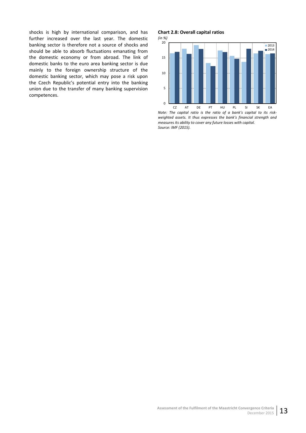shocks is high by international comparison, and has further increased over the last year. The domestic banking sector is therefore not a source of shocks and should be able to absorb fluctuations emanating from the domestic economy or from abroad. The link of domestic banks to the euro area banking sector is due mainly to the foreign ownership structure of the domestic banking sector, which may pose a risk upon the Czech Republic's potential entry into the banking union due to the transfer of many banking supervision competences.

#### <span id="page-18-0"></span>**Chart 2.8: Overall capital ratios**



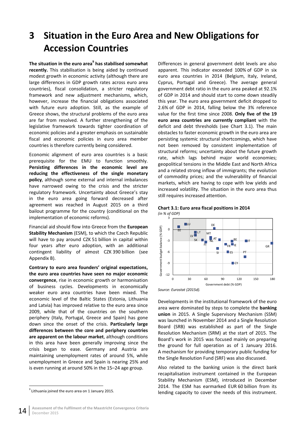# <span id="page-19-0"></span>**3 Situation in the Euro Area and New Obligations for Accession Countries**

**The situation in the euro area9 has stabilised somewhat recently.** This stabilisation is being aided by continued modest growth in economic activity (although there are large differences in GDP growth rates across euro area countries), fiscal consolidation, a stricter regulatory framework and new adjustment mechanisms, which, however, increase the financial obligations associated with future euro adoption. Still, as the example of Greece shows, the structural problems of the euro area are far from resolved. A further strengthening of the legislative framework towards tighter coordination of economic policies and a greater emphasis on sustainable fiscal and economic policies in euro area member countries is therefore currently being considered.

Economic alignment of euro area countries is a basic prerequisite for the EMU to function smoothly. **Persisting differences in the economic level are reducing the effectiveness of the single monetary policy**, although some external and internal imbalances have narrowed owing to the crisis and the stricter regulatory framework. Uncertainty about Greece's stay in the euro area going forward decreased after agreement was reached in August 2015 on a third bailout programme for the country (conditional on the implementation of economic reforms).

Financial aid should flow into Greece from the **European Stability Mechanism** (ESM), to which the Czech Republic will have to pay around CZK 51 billion in capital within four years after euro adoption, with an additional contingent liability of almost CZK 390 billion (see Appendix B).

**Contrary to euro area founders' original expectations, the euro area countries have seen no major economic convergence**, rise in economic growth or harmonisation of business cycles. Developments in economically weaker euro area countries have been mixed. The economic level of the Baltic States (Estonia, Lithuania and Latvia) has improved relative to the euro area since 2009, while that of the countries on the southern periphery (Italy, Portugal, Greece and Spain) has gone down since the onset of the crisis. **Particularly large differences between the core and periphery countries are apparent on the labour market**, although conditions in this area have been generally improving since the crisis began to ease. Germany and Austria are maintaining unemployment rates of around 5%, while unemployment in Greece and Spain is nearing 25% and is even running at around 50% in the 15–24 age group.

Differences in general government debt levels are also apparent. This indicator exceeded 100% of GDP in six euro area countries in 2014 (Belgium, Italy, Ireland, Cyprus, Portugal and Greece). The average general government debt ratio in the euro area peaked at 92.1% of GDP in 2014 and should start to come down steadily this year. The euro area government deficit dropped to 2.6% of GDP in 2014, falling below the 3% reference value for the first time since 2008. **Only five of the 19 euro area countries are currently compliant** with the deficit and debt thresholds (see Chart 3.1). The main obstacles to faster economic growth in the euro area are persisting systemic structural shortcomings, which have not been removed by consistent implementation of structural reforms; uncertainty about the future growth rate, which lags behind major world economies; geopolitical tensions in the Middle East and North Africa and a related strong inflow of immigrants; the evolution of commodity prices; and the vulnerability of financial markets, which are having to cope with low yields and increased volatility. The situation in the euro area thus still requires increased attention.



# <span id="page-19-1"></span>**Chart 3.1: Euro area fiscal positions in 2014**

*Source: Eurostat (2015d).*

Developments in the institutional framework of the euro area were dominated by steps to complete the **banking union** in 2015. A Single Supervisory Mechanism (SSM) was launched in November 2014 and a Single Resolution Board (SRB) was established as part of the Single Resolution Mechanism (SRM) at the start of 2015. The Board's work in 2015 was focused mainly on preparing the ground for full operation as of 1 January 2016. A mechanism for providing temporary public funding for the Single Resolution Fund (SRF) was also discussed.

Also related to the banking union is the direct bank recapitalisation instrument contained in the European Stability Mechanism (ESM), introduced in December 2014. The ESM has earmarked EUR 60 billion from its lending capacity to cover the needs of this instrument.

 $9$  Lithuania joined the euro area on 1 January 2015.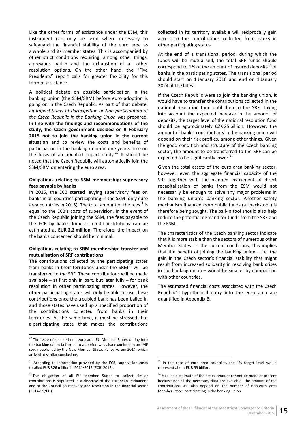Like the other forms of assistance under the ESM, this instrument can only be used where necessary to safeguard the financial stability of the euro area as a whole and its member states. This is accompanied by other strict conditions requiring, among other things, a previous bail-in and the exhaustion of all other resolution options. On the other hand, the "Five Presidents" report calls for greater flexibility for this form of assistance.

A political debate on possible participation in the banking union (the SSM/SRM) before euro adoption is going on in the Czech Republic. As part of that debate, an *Impact Study of Participation or Non-participation of the Czech Republic in the Banking Union* was prepared. **In line with the findings and recommendations of the study, the Czech government decided on 9 February 2015 not to join the banking union in the current situation** and to review the costs and benefits of participation in the banking union in one year's time on the basis of an updated impact study.<sup>10</sup> It should be noted that the Czech Republic will automatically join the SSM/SRM on entering the euro area.

#### **Obligations relating to SSM membership: supervisory fees payable by banks**

In 2015, the ECB started levying supervisory fees on banks in all countries participating in the SSM (only euro area countries in 2015). The total amount of the fees<sup>11</sup> is equal to the ECB's costs of supervision. In the event of the Czech Republic joining the SSM, the fees payable to the ECB by liable domestic credit institutions can be estimated at **EUR 2.2 million**. Therefore, the impact on the banks concerned should be minimal.

#### **Obligations relating to SRM membership: transfer and mutualisation of SRF contributions**

The contributions collected by the participating states from banks in their territories under the SRM $^{12}$  will be transferred to the SRF. These contributions will be made available – at first only in part, but later fully – for bank resolution in other participating states. However, the other participating states will only be able to use these contributions once the troubled bank has been bailed in and those states have used up a specified proportion of the contributions collected from banks in their territories. At the same time, it must be stressed that a participating state that makes the contributions collected in its territory available will reciprocally gain access to the contributions collected from banks in other participating states.

At the end of a transitional period, during which the funds will be mutualised, the total SRF funds should correspond to 1% of the amount of insured deposits $^{13}$  of banks in the participating states. The transitional period should start on 1 January 2016 and end on 1 January 2024 at the latest.

If the Czech Republic were to join the banking union, it would have to transfer the contributions collected in the national resolution fund until then to the SRF. Taking into account the expected increase in the amount of deposits, the target level of the national resolution fund should be approximately CZK 25 billion. However, the amount of banks' contributions in the banking union will depend on their risk profiles, among other things. Given the good condition and structure of the Czech banking sector, the amount to be transferred to the SRF can be expected to be significantly lower. $^{14}$ 

Given the total assets of the euro area banking sector, however, even the aggregate financial capacity of the SRF together with the planned instrument of direct recapitalisation of banks from the ESM would not necessarily be enough to solve any major problems in the banking union's banking sector. Another safety mechanism financed from public funds (a "backstop") is therefore being sought. The bail-in tool should also help reduce the potential demand for funds from the SRF and the ESM.

The characteristics of the Czech banking sector indicate that it is more stable than the sectors of numerous other Member States. In the current conditions, this implies that the benefit of joining the banking union  $-$  i.e. the gain in the Czech sector's financial stability that might result from increased solidarity in resolving bank crises in the banking union – would be smaller by comparison with other countries.

The estimated financial costs associated with the Czech Republic's hypothetical entry into the euro area are quantified in Appendix B.

 $10$  The issue of selected non-euro area EU Member States opting into the banking union before euro adoption was also examined in an IMF study published by the New Member States Policy Forum 2014, which arrived at similar conclusions.

 $11$  According to information provided by the ECB, supervision costs totalled EUR 326 million in 2014/2015 (ECB, 2015).

<sup>&</sup>lt;sup>12</sup> The obligation of all EU Member States to collect similar contributions is stipulated in a directive of the European Parliament and of the Council on recovery and resolution in the financial sector (2014/59/EU).

 $13$  In the case of euro area countries, the 1% target level would represent about EUR 55 billion.

 $14$  A reliable estimate of the actual amount cannot be made at present because not all the necessary data are available. The amount of the contributions will also depend on the number of non-euro area Member States participating in the banking union.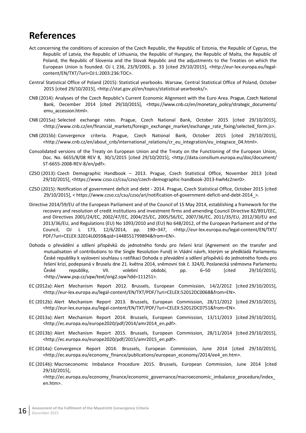# <span id="page-21-0"></span>**References**

- Act concerning the conditions of accession of the Czech Republic, the Republic of Estonia, the Republic of Cyprus, the Republic of Latvia, the Republic of Lithuania, the Republic of Hungary, the Republic of Malta, the Republic of Poland, the Republic of Slovenia and the Slovak Republic and the adjustments to the Treaties on which the European Union is founded. OJ L 236, 23/9/2003, p. 33 [cited 29/10/2015], <http://eur-lex.europa.eu/legalcontent/EN/TXT/?uri=OJ:L:2003:236:TOC>.
- Central Statistical Office of Poland (2015): Statistical yearbooks. Warsaw, Central Statistical Office of Poland, October 2015 [cited 29/10/2015], <http://stat.gov.pl/en/topics/statistical-yearbooks/>.
- CNB (2014): Analyses of the Czech Republic's Current Economic Alignment with the Euro Area. Prague, Czech National Bank, December 2014 [cited 29/10/2015], <https://www.cnb.cz/en/monetary\_policy/strategic\_documents/ emu\_accession.html>.
- CNB (2015a): Selected exchange rates. Prague, Czech National Bank, October 2015 [cited 29/10/2015], <http://www.cnb.cz/en/financial\_markets/foreign\_exchange\_market/exchange\_rate\_fixing/selected\_form.js>.
- CNB (2015b): Convergence criteria. Prague, Czech National Bank, October 2015 [cited 29/10/2015], <http://www.cnb.cz/en/about\_cnb/international\_relations/cr\_eu\_integration/eu\_integrace\_04.html>.
- Consolidated versions of the Treaty on European Union and the Treaty on the Functioning of the European Union, Doc. No. 6655/8/08 REV 8, 30/1/2015 [cited 29/10/2015], <http://data.consilium.europa.eu/doc/document/ ST-6655-2008-REV-8/en/pdf>.
- CZSO (2013): Czech Demographic Handbook 2013. Prague, Czech Statistical Office, November 2013 [cited 29/10/2015], <https://www.czso.cz/csu/czso/czech-demographic-handbook-2013-hwh4z2ner0>.
- CZSO (2015): Notification of government deficit and debt 2014. Prague, Czech Statistical Office, October 2015 [cited 29/10/2015], < https://www.czso.cz/csu/czso/ari/notification-of-government-deficit-and-debt-2014\_>.
- Directive 2014/59/EU of the European Parliament and of the Council of 15 May 2014, establishing a framework for the recovery and resolution of credit institutions and investment firms and amending Council Directive 82/891/EEC, and Directives 2001/24/EC, 2002/47/EC, 2004/25/EC, 2005/56/EC, 2007/36/EC, 2011/35/EU, 2012/30/EU and 2013/36/EU, and Regulations (EU) No 1093/2010 and (EU) No 648/2012, of the European Parliament and of the Council, OJ L 173, 12/6/2014, pp. 190–347, <http://eur-lex.europa.eu/legal-content/EN/TXT/ PDF/?uri=CELEX:32014L0059&qid=1448551799894&from=EN>.
- Dohoda o převádění a sdílení příspěvků do jednotného fondu pro řešení krizí (Agreement on the transfer and mutualisation of contributions to the Single Resolution Fund) in Vládní návrh, kterým se předkládá Parlamentu České republiky k vyslovení souhlasu s ratifikací Dohoda o převádění a sdílení příspěvků do jednotného fondu pro řešení krizí, podepsaná v Bruselu dne 21. května 2014, sněmovní tisk č. 324/0, Poslanecká sněmovna Parlamentu České republiky, VII. volební období, pp. 6–50 [cited 29/10/2015], <http://www.psp.cz/sqw/text/orig2.sqw?idd=111251>.
- EC (2012a): Alert Mechanism Report 2012. Brussels, European Commission, 14/2/2012 [cited 29/10/2015], <http://eur-lex.europa.eu/legal-content/EN/TXT/PDF/?uri=CELEX:52012DC0068&from=EN>.
- EC (2012b): Alert Mechanism Report 2013. Brussels, European Commission, 28/11/2012 [cited 29/10/2015], <http://eur-lex.europa.eu/legal-content/EN/TXT/PDF/?uri=CELEX:52012DC0751&from=EN>.
- EC (2013a): Alert Mechanism Report 2014. Brussels, European Commission, 13/11/2013 [cited 29/10/2015], <http://ec.europa.eu/europe2020/pdf/2014/amr2014\_en.pdf>.
- EC (2013b): Alert Mechanism Report 2015. Brussels, European Commission, 28/11/2014 [cited 29/10/2015], <http://ec.europa.eu/europe2020/pdf/2015/amr2015\_en.pdf>.
- EC (2014a): Convergence Report 2014. Brussels, European Commission, June 2014 [cited 29/10/2015], <http://ec.europa.eu/economy\_finance/publications/european\_economy/2014/ee4\_en.htm>.
- EC (2014b): Macroeconomic Imbalance Procedure 2015. Brussels, European Commission, June 2014 [cited 29/10/2015],

<http://ec.europa.eu/economy\_finance/economic\_governance/macroeconomic\_imbalance\_procedure/index\_ en.htm>.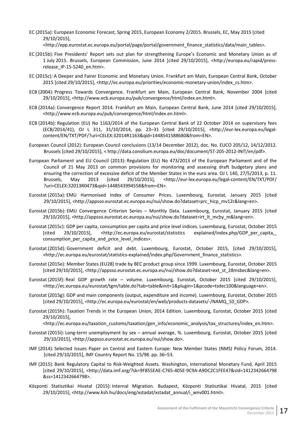- EC (2015a): European Economic Forecast, Spring 2015, European Economy 2/2015. Brussels, EC, May 2015 [cited 29/10/2015],
	- <http://epp.eurostat.ec.europa.eu/portal/page/portal/government\_finance\_statistics/data/main\_tables>.
- EC (2015b): Five Presidents' Report sets out plan for strengthening Europe's Economic and Monetary Union as of 1 July 2015. Brussels, European Commission, June 2014 [cited 29/10/2015], <http://europa.eu/rapid/pressrelease IP-15-5240 en.htm>.
- EC (2015c): A Deeper and Fairer Economic and Monetary Union. Frankfurt am Main, European Central Bank, October 2015 [cited 29/10/2015], <http://ec.europa.eu/priorities/economic-monetary-union/index\_cs.htm>.
- ECB (2004): Progress Towards Convergence. Frankfurt am Main, European Central Bank, November 2004 [cited 29/10/2015], [<http://www.ecb.europa.eu/pub/convergence/html/index.en.html](http://www.ecb.europa.eu/pub/convergence/html/index.en.html)>.
- ECB (2014a): Convergence Report 2014. Frankfurt am Main, European Central Bank, June 2014 [cited 29/10/2015], [<http://www.ecb.europa.eu/pub/convergence/html/index.en.html](http://www.ecb.europa.eu/pub/convergence/html/index.en.html)>.
- ECB (2014b): Regulation (EU) No 1163/2014 of the European Central Bank of 22 October 2014 on supervisory fees (ECB/2014/41), OJ L 311, 31/10/2014, pp. 23–31 [cited 29/10/2015], <http://eur-lex.europa.eu/legalcontent/EN/TXT/PDF/?uri=CELEX:32014R1163&qid=1448541588680&from=EN>.
- European Council (2012): European Council conclusions (13/14 December 2012), doc. No. EUCO 205/12, 14/12/2012. Brussels [cited 29/10/2015], < http://data.consilium.europa.eu/doc/document/ST-205-2012-INIT/en/pdf>.
- European Parliament and EU Council (2013): Regulation (EU) No 473/2013 of the European Parliament and of the Council of 21 May 2013 on common provisions for monitoring and assessing draft budgetary plans and ensuring the correction of excessive deficit of the Member States in the euro area. OJ L 140, 27/5/2013, p. 11. Brussels, May 2013 [cited 29/10/2015], <http://eur-lex.europa.eu/legal-content/EN/TXT/PDF/ ?uri=CELEX:32013R0473&qid=1448543994558&from=EN>.
- Eurostat (2015a): EMU Harmonised Index of Consumer Prices. Luxembourg, Eurostat, January 2015 [cited 29/10/2015], <http://appsso.eurostat.ec.europa.eu/nui/show.do?dataset=prc\_hicp\_mv12r&lang=en>.
- Eurostat (2015b): EMU Convergence Criterion Series Monthly Data. Luxembourg, Eurostat, January 2015 [cited 29/10/2015], <http://appsso.eurostat.ec.europa.eu/nui/show.do?dataset=irt\_lt\_mcby\_m&lang=en>.
- Eurostat (2015c): GDP per capita, consumption per capita and price level indices. Luxembourg, Eurostat, October 2015 [cited 29/10/2015], <http://ec.europa.eu/eurostat/statistics explained/index.php/GDP\_per\_capita, consumption\_per\_capita\_and\_price\_level\_indices>.
- Eurostat (2015d): Government deficit and debt. Luxembourg, Eurostat, October 2015, [cited 29/10/2015], <http://ec.europa.eu/eurostat/statistics-explained/index.php/Government\_finance\_statistics>.
- Eurostat (2015e): Member States (EU28) trade by BEC product group since 1999. Luxembourg, Eurostat, October 2015 [cited 29/10/2015], <http://appsso.eurostat.ec.europa.eu/nui/show.do?dataset=ext\_st\_28msbec&lang=en>.
- Eurostat (2015f): Real GDP growth rate volume. Luxembourg, Eurostat, October 2015 [cited 29/10/2015], <http://ec.europa.eu/eurostat/tgm/table.do?tab=table&init=1&plugin=1&pcode=tsdec100&language=en>.
- Eurostat (2015g): GDP and main components (output, expenditure and income). Luxembourg, Eurostat, October 2015 [cited 29/10/2015], <http://ec.europa.eu/eurostat/en/web/products-datasets/-/NAMQ\_10\_GDP>.
- Eurostat (2015h): Taxation Trends in the European Union, 2014 Edition. Luxembourg, Eurostat, October 2015 [cited 29/10/2015],

<http://ec.europa.eu/taxation\_customs/taxation/gen\_info/economic\_analysis/tax\_structures/index\_en.htm>.

- Eurostat (2015i): Long-term unemployment by sex annual average, %. Luxembourg, Eurostat, October 2015 [cited 29/10/2015], <http://appsso.eurostat.ec.europa.eu/nui/show.do>.
- IMF (2014): Selected Issues Paper on Central and Eastern Europe: New Member States (NMS) Policy Forum, 2014. [cited 29/10/2015], IMF Country Report No. 15/98. pp. 36–53.
- IMF (2015): Bank Regulatory Capital to Risk-Weighted Assets. Washington, International Monetary Fund, April 2015 [cited 29/10/2015], <http://data.imf.org/?sk=9F855EAE-C765-405E-9C9A-A9DC2C1FEE47&sId=1412342664798 &ss=1412342664798>.
- [Központi Statisztikai Hivatal](https://www.google.cz/url?sa=t&rct=j&q=&esrc=s&frm=1&source=web&cd=1&cad=rja&uact=8&ved=0CBwQFjAAahUKEwjXls3L3PbIAhUByRoKHV24Agw&url=https%3A%2F%2Fwww.ksh.hu%2F&usg=AFQjCNGIA0AIEHZUmiIhjJ2LexUN7VoKrQ&bvm=bv.106379543,d.d2s) (2015): Internal Migration. Budapest, [Központi Statisztikai Hivatal,](https://www.google.cz/url?sa=t&rct=j&q=&esrc=s&frm=1&source=web&cd=1&cad=rja&uact=8&ved=0CBwQFjAAahUKEwjXls3L3PbIAhUByRoKHV24Agw&url=https%3A%2F%2Fwww.ksh.hu%2F&usg=AFQjCNGIA0AIEHZUmiIhjJ2LexUN7VoKrQ&bvm=bv.106379543,d.d2s) 2015 [cited 29/10/2015], <http://www.ksh.hu/docs/eng/xstadat/xstadat\_annual/i\_wnv001.html>.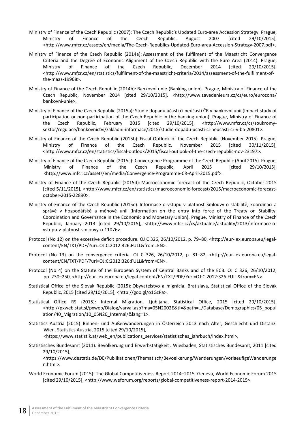- Ministry of Finance of the Czech Republic (2007): The Czech Republic's Updated Euro-area Accession Strategy. Prague, Ministry of Finance of the Czech Republic, August 2007 [cited 29/10/2015], <http://www.mfcr.cz/assets/en/media/The-Czech-Republics-Updated-Euro-area-Accession-Strategy-2007.pdf>.
- Ministry of Finance of the Czech Republic (2014a): Assessment of the fulfilment of the Maastricht Convergence Criteria and the Degree of Economic Alignment of the Czech Republic with the Euro Area (2014). Prague, Ministry of Finance of the Czech Republic, December 2014 [cited 29/10/2015], <http://www.mfcr.cz/en/statistics/fulfilment-of-the-maastricht-criteria/2014/assessment-of-the-fulfilment-ofthe-maas-19968>.
- Ministry of Finance of the Czech Republic (2014b): Bankovní unie (Banking union). Prague, Ministry of Finance of the Czech Republic, November 2014 [cited 29/10/2015]. <http://www.zavedenieura.cz/cs/euro/eurozona/ bankovni-unie>.
- Ministry of Finance of the Czech Republic (2015a): Studie dopadu účasti či neúčasti ČR v bankovní unii (Impact study of participation or non-participation of the Czech Republic in the banking union). Prague, Ministry of Finance of the Czech Republic, February 2015 [cited 29/10/2015], <http://www.mfcr.cz/cs/soukromysektor/regulace/bankovnictvi/zakladni-informace/2015/studie-dopadu-ucasti-ci-neucasti-cr-v-ba-20801>.
- Ministry of Finance of the Czech Republic (2015b): Fiscal Outlook of the Czech Republic (November 2015). Prague, Ministry of Finance of the Czech Republic, November 2015 [cited 30/11/2015], <http://www.mfcr.cz/en/statistics/fiscal-outlook/2015/fiscal-outlook-of-the-czech-republic-nov-23197>.
- Ministry of Finance of the Czech Republic (2015c): Convergence Programme of the Czech Republic (April 2015). Prague, Ministry of Finance of the Czech Republic, April 2015 [cited 29/10/2015], <http://www.mfcr.cz/assets/en/media/Convergence-Programme-CR-April-2015.pdf>.
- Ministry of Finance of the Czech Republic (2015d): Macroeconomic forecast of the Czech Republic, October 2015 [cited 5/11/2015], <http://www.mfcr.cz/en/statistics/macroeconomic-forecast/2015/macroeconomic-forecastoctober-2015-22890>.
- Ministry of Finance of the Czech Republic (2015e): Informace o vstupu v platnost Smlouvy o stabilitě, koordinaci a správě v hospodářské a měnové unii (Information on the entry into force of the Treaty on Stability, Coordination and Governance in the Economic and Monetary Union). Prague, Ministry of Finance of the Czech Republic, January 2013 [cited 29/10/2015], <http://www.mfcr.cz/cs/aktualne/aktuality/2013/informace-ovstupu-v-platnost-smlouvy-o-11076>.
- Protocol (No 12) on the excessive deficit procedure. OJ C 326, 26/10/2012, p. 79–80, <http://eur-lex.europa.eu/legalcontent/EN/TXT/PDF/?uri=OJ:C:2012:326:FULL&from=EN>.
- Protocol (No 13) on the convergence criteria. OJ C 326, 26/10/2012, p. 81–82, <http://eur-lex.europa.eu/legalcontent/EN/TXT/PDF/?uri=OJ:C:2012:326:FULL&from=EN>.
- [Protocol](http://eur-lex.europa.eu/JOHtml.do?uri=OJ:C:2010:083:SOM:CS:HTML) (No 4) on the Statute of the European System of Central Banks and of the ECB. OJ C 326, 26/10/2012, pp. 230–250, <http://eur-lex.europa.eu/legal-content/EN/TXT/PDF/?uri=OJ:C:2012:326:FULL&from=EN>.
- Statistical Office of the Slovak Republic (2015): Obyvatelstvo a migrácia. Bratislava, Statistical Office of the Slovak Republic, 2015 [cited 29/10/2015], <http://goo.gl/o1GzPa>.
- Statistical Office RS (2015): Internal Migration. Ljubljana, Statistical Office, 2015 [cited 29/10/2015], <http://pxweb.stat.si/pxweb/Dialog/varval.asp?ma=05N2002E&ti=&path=../Database/Demographics/05\_popul ation/40 Migration/10\_05N20 Internal/&lang=1>.
- Statistics Austria (2015): Binnen- und Außenwanderungen in Österreich 2013 nach Alter, Geschlecht und Distanz. Wien, Statistics Austria, 2015 [cited 29/10/2015], <[https://www.statistik.at/web\\_en/publications\\_services/statistisches\\_jahrbuch/index.html>](https://www.statistik.at/web_en/publications_services/statistisches_jahrbuch/index.html).
- Statistisches Bundesamt (2011): Bevölkerung und Erwerbstatigkeit . Wiesbaden, Statistisches Bundesamt, 2011 [cited 29/10/2015],

<https://www.destatis.de/DE/Publikationen/Thematisch/Bevoelkerung/Wanderungen/vorlaeufigeWanderunge n.html>.

World Economic Forum (2015): The Global Competitiveness Report 2014–2015. Geneva, World Economic Forum 2015 [cited 29/10/2015], <http://www.weforum.org/reports/global-competitiveness-report-2014-2015>.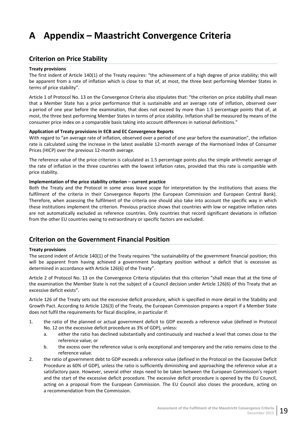# <span id="page-24-0"></span>**A Appendix – Maastricht Convergence Criteria**

## <span id="page-24-1"></span>**Criterion on Price Stability**

#### **Treaty provisions**

The first indent of Article 140(1) of the Treaty requires: "the achievement of a high degree of price stability; this will be apparent from a rate of inflation which is close to that of, at most, the three best performing Member States in terms of price stability".

Article 1 of Protocol No. 13 on the Convergence Criteria also stipulates that: "the criterion on price stability shall mean that a Member State has a price performance that is sustainable and an average rate of inflation, observed over a period of one year before the examination, that does not exceed by more than 1.5 percentage points that of, at most, the three best performing Member States in terms of price stability. Inflation shall be measured by means of the consumer price index on a comparable basis taking into account differences in national definitions."

#### **Application of Treaty provisions in ECB and EC Convergence Reports**

With regard to "an average rate of inflation, observed over a period of one year before the examination", the inflation rate is calculated using the increase in the latest available 12-month average of the Harmonised Index of Consumer Prices (HICP) over the previous 12-month average.

The reference value of the price criterion is calculated as 1.5 percentage points plus the simple arithmetic average of the rate of inflation in the three countries with the lowest inflation rates, provided that this rate is compatible with price stability.

#### **Implementation of the price stability criterion – current practice**

Both the Treaty and the Protocol in some areas leave scope for interpretation by the institutions that assess the fulfilment of the criteria in their Convergence Reports (the European Commission and European Central Bank). Therefore, when assessing the fulfilment of the criteria one should also take into account the specific way in which these institutions implement the criterion. Previous practice shows that countries with low or negative inflation rates are not automatically excluded as reference countries. Only countries that record significant deviations in inflation from the other EU countries owing to extraordinary or specific factors are excluded.

# <span id="page-24-2"></span>**Criterion on the Government Financial Position**

#### **Treaty provisions**

The second indent of Article 140(1) of the Treaty requires "the sustainability of the government financial position; this will be apparent from having achieved a government budgetary position without a deficit that is excessive as determined in accordance with Article 126(6) of the Treaty".

Article 2 of Protocol No. 13 on the Convergence Criteria stipulates that this criterion "shall mean that at the time of the examination the Member State is not the subject of a Council decision under Article 126(6) of this Treaty that an excessive deficit exists".

Article 126 of the Treaty sets out the excessive deficit procedure, which is specified in more detail in the Stability and Growth Pact. According to Article 126(3) of the Treaty, the European Commission prepares a report if a Member State does not fulfil the requirements for fiscal discipline, in particular if:

- 1. the ratio of the planned or actual government deficit to GDP exceeds a reference value (defined in Protocol No. 12 on the excessive deficit procedure as 3% of GDP), unless:
	- a. either the ratio has declined substantially and continuously and reached a level that comes close to the reference value; or
	- b. the excess over the reference value is only exceptional and temporary and the ratio remains close to the reference value.
- 2. the ratio of government debt to GDP exceeds a reference value (defined in the Protocol on the Excessive Deficit Procedure as 60% of GDP), unless the ratio is sufficiently diminishing and approaching the reference value at a satisfactory pace. However, several other steps need to be taken between the European Commission's report and the start of the excessive deficit procedure. The excessive deficit procedure is opened by the EU Council, acting on a proposal from the European Commission. The EU Council also closes the procedure, acting on a recommendation from the Commission.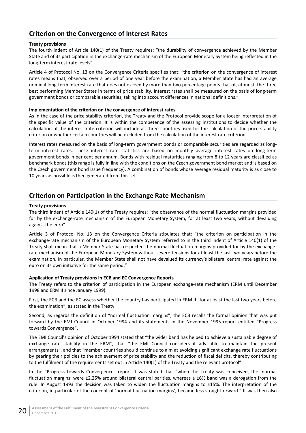# <span id="page-25-0"></span>**Criterion on the Convergence of Interest Rates**

#### **Treaty provisions**

The fourth indent of Article 140(1) of the Treaty requires: "the durability of convergence achieved by the Member State and of its participation in the exchange-rate mechanism of the European Monetary System being reflected in the long-term interest-rate levels".

Article 4 of Protocol No. 13 on the Convergence Criteria specifies that: "the criterion on the convergence of interest rates means that, observed over a period of one year before the examination, a Member State has had an average nominal long-term interest rate that does not exceed by more than two percentage points that of, at most, the three best performing Member States in terms of price stability. Interest rates shall be measured on the basis of long-term government bonds or comparable securities, taking into account differences in national definitions."

#### **Implementation of the criterion on the convergence of interest rates**

As in the case of the price stability criterion, the Treaty and the Protocol provide scope for a looser interpretation of the specific value of the criterion. It is within the competence of the assessing institutions to decide whether the calculation of the interest rate criterion will include all three countries used for the calculation of the price stability criterion or whether certain countries will be excluded from the calculation of the interest rate criterion.

Interest rates measured on the basis of long-term government bonds or comparable securities are regarded as longterm interest rates. These interest rate statistics are based on monthly average interest rates on long-term government bonds in per cent per annum. Bonds with residual maturities ranging from 8 to 12 years are classified as benchmark bonds (this range is fully in line with the conditions on the Czech government bond market and is based on the Czech government bond issue frequency). A combination of bonds whose average residual maturity is as close to 10 years as possible is then generated from this set.

## <span id="page-25-1"></span>**Criterion on Participation in the Exchange Rate Mechanism**

#### **Treaty provisions**

The third indent of Article 140(1) of the Treaty requires: "the observance of the normal fluctuation margins provided for by the exchange-rate mechanism of the European Monetary System, for at least two years, without devaluing against the euro".

Article 3 of Protocol No. 13 on the Convergence Criteria stipulates that: "the criterion on participation in the exchange-rate mechanism of the European Monetary System referred to in the third indent of Article 140(1) of the Treaty shall mean that a Member State has respected the normal fluctuation margins provided for by the exchangerate mechanism of the European Monetary System without severe tensions for at least the last two years before the examination. In particular, the Member State shall not have devalued its currency's bilateral central rate against the euro on its own initiative for the same period."

#### **Application of Treaty provisions in ECB and EC Convergence Reports**

The Treaty refers to the criterion of participation in the European exchange-rate mechanism (ERM until December 1998 and ERM II since January 1999).

First, the ECB and the EC assess whether the country has participated in ERM II "for at least the last two years before the examination", as stated in the Treaty.

Second, as regards the definition of "normal fluctuation margins", the ECB recalls the formal opinion that was put forward by the EMI Council in October 1994 and its statements in the November 1995 report entitled "Progress towards Convergence".

The EMI Council's opinion of October 1994 stated that "the wider band has helped to achieve a sustainable degree of exchange rate stability in the ERM", that "the EMI Council considers it advisable to maintain the present arrangements", and that "member countries should continue to aim at avoiding significant exchange rate fluctuations by gearing their policies to the achievement of price stability and the reduction of fiscal deficits, thereby contributing to the fulfilment of the requirements set out in Article 140(1) of the Treaty and the relevant protocol".

In the "Progress towards Convergence" report it was stated that "when the Treaty was conceived, the 'normal fluctuation margins' were ±2.25% around bilateral central parities, whereas a ±6% band was a derogation from the rule. In August 1993 the decision was taken to widen the fluctuation margins to ±15%. The interpretation of the criterion, in particular of the concept of 'normal fluctuation margins', became less straightforward." It was then also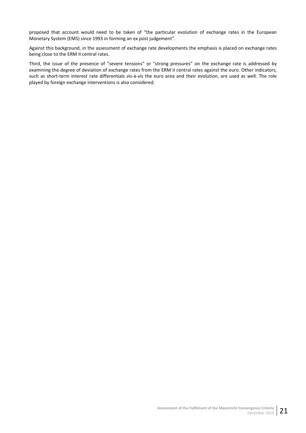proposed that account would need to be taken of "the particular evolution of exchange rates in the European Monetary System (EMS) since 1993 in forming an ex post judgement".

Against this background, in the assessment of exchange rate developments the emphasis is placed on exchange rates being close to the ERM II central rates.

Third, the issue of the presence of "severe tensions" or "strong pressures" on the exchange rate is addressed by examining the degree of deviation of exchange rates from the ERM II central rates against the euro. Other indicators, such as short-term interest rate differentials vis-à-vis the euro area and their evolution, are used as well. The role played by foreign exchange interventions is also considered.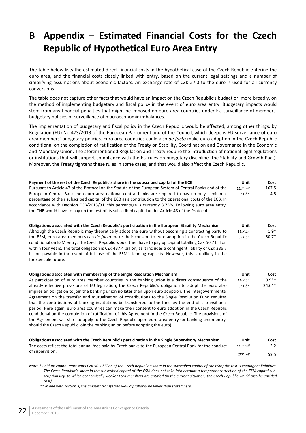# <span id="page-27-0"></span>**B Appendix – Estimated Financial Costs for the Czech Republic of Hypothetical Euro Area Entry**

The table below lists the estimated direct financial costs in the hypothetical case of the Czech Republic entering the euro area, and the financial costs closely linked with entry, based on the current legal settings and a number of simplifying assumptions about economic factors. An exchange rate of CZK 27.0 to the euro is used for all currency conversions.

The table does not capture other facts that would have an impact on the Czech Republic's budget or, more broadly, on the method of implementing budgetary and fiscal policy in the event of euro area entry. Budgetary impacts would stem from any financial penalties that might be imposed on euro area countries under EU surveillance of members' budgetary policies or surveillance of macroeconomic imbalances.

The implementation of budgetary and fiscal policy in the Czech Republic would be affected, among other things, by Regulation (EU) No 473/2013 of the European Parliament and of the Council, which deepens EU surveillance of euro area members' budgetary policies. Euro area countries could also *de facto* make euro adoption in the Czech Republic conditional on the completion of ratification of the Treaty on Stability, Coordination and Governance in the Economic and Monetary Union. The aforementioned Regulation and Treaty require the introduction of national legal regulations or institutions that will support compliance with the EU rules on budgetary discipline (the Stability and Growth Pact). Moreover, the Treaty tightens these rules in some cases, and that would also affect the Czech Republic.

| Payment of the rest of the Czech Republic's share in the subscribed capital of the ECB<br>Pursuant to Article 47 of the Protocol on the Statute of the European System of Central Banks and of the<br>European Central Bank, non-euro area national central banks are required to pay up only a minimal<br>percentage of their subscribed capital of the ECB as a contribution to the operational costs of the ECB. In<br>accordance with Decision ECB/2013/31, this percentage is currently 3.75%. Following euro area entry,<br>the CNB would have to pay up the rest of its subscribed capital under Article 48 of the Protocol.                                                                                                                                                                                                                                                                                                                                                                                                | Unit<br><b>EUR</b> mil<br>CZK bn | Cost<br>167.5<br>4.5         |
|------------------------------------------------------------------------------------------------------------------------------------------------------------------------------------------------------------------------------------------------------------------------------------------------------------------------------------------------------------------------------------------------------------------------------------------------------------------------------------------------------------------------------------------------------------------------------------------------------------------------------------------------------------------------------------------------------------------------------------------------------------------------------------------------------------------------------------------------------------------------------------------------------------------------------------------------------------------------------------------------------------------------------------|----------------------------------|------------------------------|
| Obligations associated with the Czech Republic's participation in the European Stability Mechanism<br>Although the Czech Republic may theoretically adopt the euro without becoming a contracting party to<br>the ESM, euro area members can <i>de facto</i> make their consent to euro adoption in the Czech Republic<br>conditional on ESM entry. The Czech Republic would then have to pay up capital totalling CZK 50.7 billion<br>within four years. The total obligation is CZK 437.4 billion, as it includes a contingent liability of CZK 386.7<br>billion payable in the event of full use of the ESM's lending capacity. However, this is unlikely in the<br>foreseeable future.                                                                                                                                                                                                                                                                                                                                         | Unit<br>EUR bn<br>CZK bn         | Cost<br>$1.9*$<br>$50.7*$    |
| Obligations associated with membership of the Single Resolution Mechanism<br>As participation of euro area member countries in the banking union is a direct consequence of the<br>already effective provisions of EU legislation, the Czech Republic's obligation to adopt the euro also<br>implies an obligation to join the banking union no later than upon euro adoption. The intergovernmental<br>Agreement on the transfer and mutualisation of contributions to the Single Resolution Fund requires<br>that the contributions of banking institutions be transferred to the fund by the end of a transitional<br>period. Here again, euro area countries can make their consent to euro adoption in the Czech Republic<br>conditional on the completion of ratification of this Agreement in the Czech Republic. The provisions of<br>the Agreement will start to apply to the Czech Republic upon euro area entry (or banking union entry,<br>should the Czech Republic join the banking union before adopting the euro). | Unit<br>EUR bn<br>CZK bn         | Cost<br>$0.9**$<br>$24.6***$ |
| Obligations associated with the Czech Republic's participation in the Single Supervisory Mechanism<br>The costs reflect the total annual fees paid by Czech banks to the European Central Bank for the conduct                                                                                                                                                                                                                                                                                                                                                                                                                                                                                                                                                                                                                                                                                                                                                                                                                     | Unit<br><b>EUR</b> mil           | Cost<br>2.2                  |
| of supervision.                                                                                                                                                                                                                                                                                                                                                                                                                                                                                                                                                                                                                                                                                                                                                                                                                                                                                                                                                                                                                    | CZK mil                          | 59.5                         |

*Note: \* Paid-up capital represents CZK 50.7 billion of the Czech Republic's share in the subscribed capital of the ESM; the rest is contingent liabilities. The Czech Republic's share in the subscribed capital of the ESM does not take into account a temporary correction of the ESM capital subscription key, to which economically weaker ESM members are entitled (in the current situation, the Czech Republic would also be entitled to it).*

*\*\* In line with section 3, the amount transferred would probably be lower than stated here.*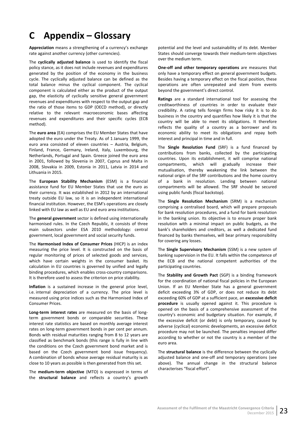# <span id="page-28-0"></span>**C Appendix – Glossary**

**Appreciation** means a strengthening of a currency's exchange rate against another currency (other currencies).

The **cyclically adjusted balance** is used to identify the fiscal policy stance, as it does not include revenues and expenditures generated by the position of the economy in the business cycle. The cyclically adjusted balance can be defined as the total balance minus the cyclical component. The cyclical component is calculated either as the product of the output gap, the elasticity of cyclically sensitive general government revenues and expenditures with respect to the output gap and the ratio of those items to GDP (OECD method), or directly relative to the relevant macroeconomic bases affecting revenues and expenditures and their specific cycles (ECB method).

The **euro area** (EA) comprises the EU Member States that have adopted the euro under the Treaty. As of 1 January 1999, the euro area consisted of eleven countries – Austria, Belgium, Finland, France, Germany, Ireland, Italy, Luxembourg, the Netherlands, Portugal and Spain. Greece joined the euro area in 2001, followed by Slovenia in 2007, Cyprus and Malta in 2008, Slovakia in 2009, Estonia in 2011, Latvia in 2014 and Lithuania in 2015.

The **European Stability Mechanism** (ESM) is a financial assistance fund for EU Member States that use the euro as their currency. It was established in 2012 by an international treaty outside EU law, so it is an independent international financial institution. However, the ESM's operations are closely linked with EU law as well as EU and euro area institutions.

The **general government** sector is defined using internationally harmonised rules. In the Czech Republic, it consists of three main subsectors under ESA 2010 methodology: central government, local government and social security funds.

The **Harmonised Index of Consumer Prices** (HICP) is an index measuring the price level. It is constructed on the basis of regular monitoring of prices of selected goods and services, which have certain weights in the consumer basket. Its calculation in EU countries is governed by unified and legally binding procedures, which enables cross-country comparisons. It is therefore used to assess the criterion on price stability.

**Inflation** is a sustained increase in the general price level, i.e. internal depreciation of a currency. The price level is measured using price indices such as the Harmonised Index of Consumer Prices.

**Long-term interest rates** are measured on the basis of longterm government bonds or comparable securities. These interest rate statistics are based on monthly average interest rates on long-term government bonds in per cent per annum. Bonds with residual maturities ranging from 8 to 12 years are classified as benchmark bonds (this range is fully in line with the conditions on the Czech government bond market and is based on the Czech government bond issue frequency). A combination of bonds whose average residual maturity is as close to 10 years as possible is then generated from this set.

The **medium-term objective** (MTO) is expressed in terms of the **structural balance** and reflects a country's growth

potential and the level and sustainability of its debt. Member States should converge towards their medium-term objectives over the medium term.

**One-off and other temporary operations** are measures that only have a temporary effect on general government budgets. Besides having a temporary effect on the fiscal position, these operations are often unrepeated and stem from events beyond the government's direct control.

**Ratings** are a standard international tool for assessing the creditworthiness of countries in order to evaluate their credibility. A rating tells foreign firms how risky it is to do business in the country and quantifies how likely it is that the country will be able to meet its obligations. It therefore reflects the quality of a country as a borrower and its economic ability to meet its obligations and repay both interest and principal in time and in full.

The **Single Resolution Fund** (SRF) is a fund financed by contributions from banks, collected by the participating countries. Upon its establishment, it will comprise national compartments, which will gradually increase their mutualisation, thereby weakening the link between the national origin of the SRF contributions and the home country of a bank in resolution. Lending between national compartments will be allowed. The SRF should be secured using public funds (fiscal backstop).

The **Single Resolution Mechanism** (SRM) is a mechanism comprising a centralised board, which will prepare proposals for bank resolution procedures, and a fund for bank resolution in the banking union. Its objective is to ensure proper bank resolution with a minimal impact on public budgets, as the bank's shareholders and creditors, as well a dedicated fund financed by banks themselves, will bear primary responsibility for covering any losses.

The **Single Supervisory Mechanism** (SSM) is a new system of banking supervision in the EU. It falls within the competence of the ECB and the national competent authorities of the participating countries.

The **Stability and Growth Pact** (SGP) is a binding framework for the coordination of national fiscal policies in the European Union. If an EU Member State has a general government deficit exceeding 3% of GDP, or does not reduce its debt exceeding 60% of GDP at a sufficient pace, an **excessive deficit procedure** is usually opened against it. This procedure is opened on the basis of a comprehensive assessment of the country's economic and budgetary situation. For example, if the excessive deficit (or debt) is only temporary, caused by adverse (cyclical) economic developments, an excessive deficit procedure may not be launched. The penalties imposed differ according to whether or not the country is a member of the euro area.

The **structural balance** is the difference between the cyclically adjusted balance and one-off and temporary operations (see above). The annual change in the structural balance characterises "fiscal effort".